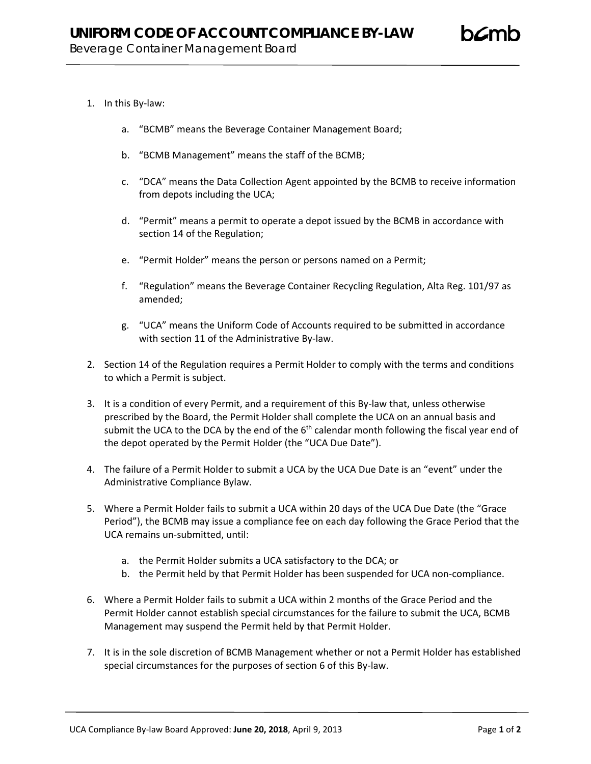## 1. In this By-law:

- a. "BCMB" means the Beverage Container Management Board;
- b. "BCMB Management" means the staff of the BCMB;
- c. "DCA" means the Data Collection Agent appointed by the BCMB to receive information from depots including the UCA;
- d. "Permit" means a permit to operate a depot issued by the BCMB in accordance with section 14 of the Regulation;
- e. "Permit Holder" means the person or persons named on a Permit;
- f. "Regulation" means the Beverage Container Recycling Regulation, Alta Reg. 101/97 as amended;
- g. "UCA" means the Uniform Code of Accounts required to be submitted in accordance with section 11 of the Administrative By-law.
- 2. Section 14 of the Regulation requires a Permit Holder to comply with the terms and conditions to which a Permit is subject.
- 3. It is a condition of every Permit, and a requirement of this By-law that, unless otherwise prescribed by the Board, the Permit Holder shall complete the UCA on an annual basis and submit the UCA to the DCA by the end of the  $6<sup>th</sup>$  calendar month following the fiscal year end of the depot operated by the Permit Holder (the "UCA Due Date").
- 4. The failure of a Permit Holder to submit a UCA by the UCA Due Date is an "event" under the Administrative Compliance Bylaw.
- 5. Where a Permit Holder fails to submit a UCA within 20 days of the UCA Due Date (the "Grace Period"), the BCMB may issue a compliance fee on each day following the Grace Period that the UCA remains un-submitted, until:
	- a. the Permit Holder submits a UCA satisfactory to the DCA; or
	- b. the Permit held by that Permit Holder has been suspended for UCA non-compliance.
- 6. Where a Permit Holder fails to submit a UCA within 2 months of the Grace Period and the Permit Holder cannot establish special circumstances for the failure to submit the UCA, BCMB Management may suspend the Permit held by that Permit Holder.
- 7. It is in the sole discretion of BCMB Management whether or not a Permit Holder has established special circumstances for the purposes of section 6 of this By-law.